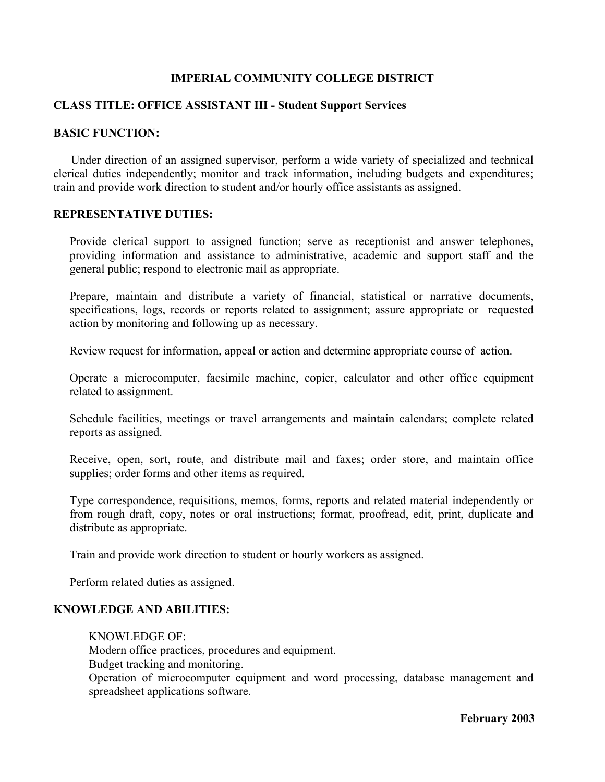## **IMPERIAL COMMUNITY COLLEGE DISTRICT**

## **CLASS TITLE: OFFICE ASSISTANT III - Student Support Services**

## **BASIC FUNCTION:**

Under direction of an assigned supervisor, perform a wide variety of specialized and technical clerical duties independently; monitor and track information, including budgets and expenditures; train and provide work direction to student and/or hourly office assistants as assigned.

#### **REPRESENTATIVE DUTIES:**

Provide clerical support to assigned function; serve as receptionist and answer telephones, providing information and assistance to administrative, academic and support staff and the general public; respond to electronic mail as appropriate.

Prepare, maintain and distribute a variety of financial, statistical or narrative documents, specifications, logs, records or reports related to assignment; assure appropriate or requested action by monitoring and following up as necessary.

Review request for information, appeal or action and determine appropriate course of action.

Operate a microcomputer, facsimile machine, copier, calculator and other office equipment related to assignment.

Schedule facilities, meetings or travel arrangements and maintain calendars; complete related reports as assigned.

Receive, open, sort, route, and distribute mail and faxes; order store, and maintain office supplies; order forms and other items as required.

Type correspondence, requisitions, memos, forms, reports and related material independently or from rough draft, copy, notes or oral instructions; format, proofread, edit, print, duplicate and distribute as appropriate.

Train and provide work direction to student or hourly workers as assigned.

Perform related duties as assigned.

## **KNOWLEDGE AND ABILITIES:**

KNOWLEDGE OF: Modern office practices, procedures and equipment. Budget tracking and monitoring. Operation of microcomputer equipment and word processing, database management and spreadsheet applications software.